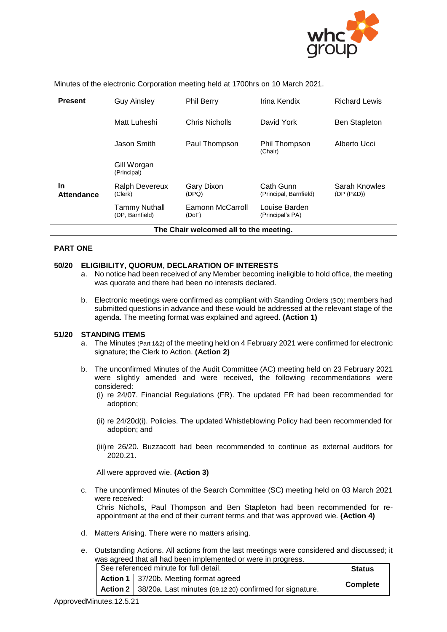

Minutes of the electronic Corporation meeting held at 1700hrs on 10 March 2021.

| <b>Present</b>                         | <b>Guy Ainsley</b>                      | <b>Phil Berry</b>         | Irina Kendix                        | <b>Richard Lewis</b>        |  |  |
|----------------------------------------|-----------------------------------------|---------------------------|-------------------------------------|-----------------------------|--|--|
|                                        | Matt Luheshi                            | Chris Nicholls            | David York                          | <b>Ben Stapleton</b>        |  |  |
|                                        | Jason Smith                             | Paul Thompson             | Phil Thompson<br>(Chair)            | Alberto Ucci                |  |  |
|                                        | Gill Worgan<br>(Principal)              |                           |                                     |                             |  |  |
| <b>In</b><br><b>Attendance</b>         | Ralph Devereux<br>(Clerk)               | Gary Dixon<br>(DPQ)       | Cath Gunn<br>(Principal, Barnfield) | Sarah Knowles<br>(DP (P&D)) |  |  |
|                                        | <b>Tammy Nuthall</b><br>(DP, Barnfield) | Eamonn McCarroll<br>(DoF) | Louise Barden<br>(Principal's PA)   |                             |  |  |
| The Chair welcomed all to the meeting. |                                         |                           |                                     |                             |  |  |

# **PART ONE**

# **50/20 ELIGIBILITY, QUORUM, DECLARATION OF INTERESTS**

- a. No notice had been received of any Member becoming ineligible to hold office, the meeting was quorate and there had been no interests declared.
- b. Electronic meetings were confirmed as compliant with Standing Orders (SO); members had submitted questions in advance and these would be addressed at the relevant stage of the agenda. The meeting format was explained and agreed. **(Action 1)**

# **51/20 STANDING ITEMS**

- a. The Minutes (Part 1&2) of the meeting held on 4 February 2021 were confirmed for electronic signature; the Clerk to Action. **(Action 2)**
- b. The unconfirmed Minutes of the Audit Committee (AC) meeting held on 23 February 2021 were slightly amended and were received, the following recommendations were considered:
	- (i) re 24/07. Financial Regulations (FR). The updated FR had been recommended for adoption;
	- (ii) re 24/20d(i). Policies. The updated Whistleblowing Policy had been recommended for adoption; and
	- (iii)re 26/20. Buzzacott had been recommended to continue as external auditors for 2020.21.

All were approved wie. **(Action 3)**

- c. The unconfirmed Minutes of the Search Committee (SC) meeting held on 03 March 2021 were received: Chris Nicholls, Paul Thompson and Ben Stapleton had been recommended for reappointment at the end of their current terms and that was approved wie. **(Action 4)**
- d. Matters Arising. There were no matters arising.
- e. Outstanding Actions. All actions from the last meetings were considered and discussed; it was agreed that all had been implemented or were in progress.

| See referenced minute for full detail. |                                                                     | <b>Status</b> |  |
|----------------------------------------|---------------------------------------------------------------------|---------------|--|
|                                        | <b>Action 1</b> 37/20b. Meeting format agreed                       |               |  |
|                                        | Action 2   38/20a. Last minutes (09.12.20) confirmed for signature. | Complete      |  |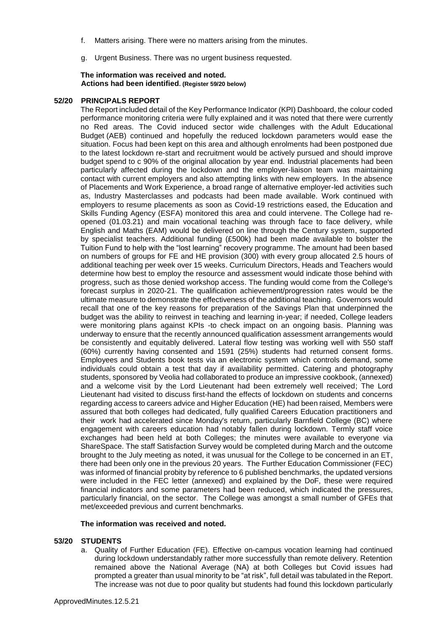- f. Matters arising. There were no matters arising from the minutes.
- g. Urgent Business. There was no urgent business requested.

#### **The information was received and noted***.* **Actions had been identified. (Register 59/20 below)**

#### **52/20 PRINCIPALS REPORT**

The Report included detail of the Key Performance Indicator (KPI) Dashboard, the colour coded performance monitoring criteria were fully explained and it was noted that there were currently no Red areas. The Covid induced sector wide challenges with the Adult Educational Budget (AEB) continued and hopefully the reduced lockdown parameters would ease the situation. Focus had been kept on this area and although enrolments had been postponed due to the latest lockdown re-start and recruitment would be actively pursued and should improve budget spend to c 90% of the original allocation by year end. Industrial placements had been particularly affected during the lockdown and the employer-liaison team was maintaining contact with current employers and also attempting links with new employers. In the absence of Placements and Work Experience, a broad range of alternative employer-led activities such as, Industry Masterclasses and podcasts had been made available. Work continued with employers to resume placements as soon as Covid-19 restrictions eased, the Education and Skills Funding Agency (ESFA) monitored this area and could intervene. The College had reopened (01.03.21) and main vocational teaching was through face to face delivery, while English and Maths (EAM) would be delivered on line through the Century system, supported by specialist teachers. Additional funding (£500k) had been made available to bolster the Tuition Fund to help with the "lost learning" recovery programme. The amount had been based on numbers of groups for FE and HE provision (300) with every group allocated 2.5 hours of additional teaching per week over 15 weeks. Curriculum Directors, Heads and Teachers would determine how best to employ the resource and assessment would indicate those behind with progress, such as those denied workshop access. The funding would come from the College's forecast surplus in 2020-21. The qualification achievement/progression rates would be the ultimate measure to demonstrate the effectiveness of the additional teaching. Governors would recall that one of the key reasons for preparation of the Savings Plan that underpinned the budget was the ability to reinvest in teaching and learning in-year; if needed, College leaders were monitoring plans against KPIs -to check impact on an ongoing basis. Planning was underway to ensure that the recently announced qualification assessment arrangements would be consistently and equitably delivered. Lateral flow testing was working well with 550 staff (60%) currently having consented and 1591 (25%) students had returned consent forms. Employees and Students book tests via an electronic system which controls demand, some individuals could obtain a test that day if availability permitted. Catering and photography students, sponsored by Veolia had collaborated to produce an impressive cookbook, (annexed) and a welcome visit by the Lord Lieutenant had been extremely well received; The Lord Lieutenant had visited to discuss first-hand the effects of lockdown on students and concerns regarding access to careers advice and Higher Education (HE) had been raised, Members were assured that both colleges had dedicated, fully qualified Careers Education practitioners and their work had accelerated since Monday's return, particularly Barnfield College (BC) where engagement with careers education had notably fallen during lockdown. Termly staff voice exchanges had been held at both Colleges; the minutes were available to everyone via ShareSpace. The staff Satisfaction Survey would be completed during March and the outcome brought to the July meeting as noted, it was unusual for the College to be concerned in an ET, there had been only one in the previous 20 years. The Further Education Commissioner (FEC) was informed of financial probity by reference to 6 published benchmarks, the updated versions were included in the FEC letter (annexed) and explained by the DoF, these were required financial indicators and some parameters had been reduced, which indicated the pressures, particularly financial, on the sector. The College was amongst a small number of GFEs that met/exceeded previous and current benchmarks.

#### **The information was received and noted***.*

# **53/20 STUDENTS**

a. Quality of Further Education (FE). Effective on-campus vocation learning had continued during lockdown understandably rather more successfully than remote delivery. Retention remained above the National Average (NA) at both Colleges but Covid issues had prompted a greater than usual minority to be "at risk", full detail was tabulated in the Report. The increase was not due to poor quality but students had found this lockdown particularly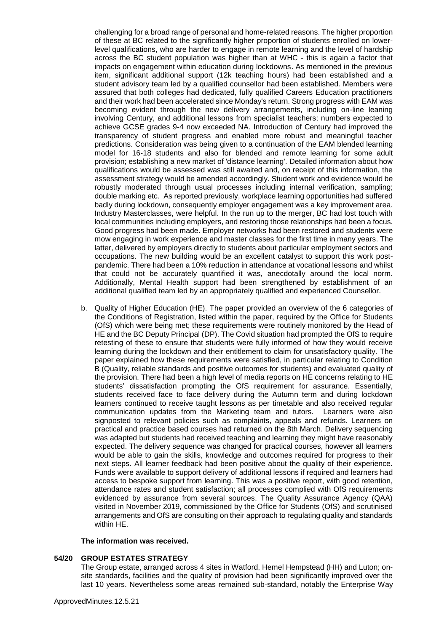challenging for a broad range of personal and home-related reasons. The higher proportion of these at BC related to the significantly higher proportion of students enrolled on lowerlevel qualifications, who are harder to engage in remote learning and the level of hardship across the BC student population was higher than at WHC - this is again a factor that impacts on engagement within education during lockdowns. As mentioned in the previous item, significant additional support (12k teaching hours) had been established and a student advisory team led by a qualified counsellor had been established. Members were assured that both colleges had dedicated, fully qualified Careers Education practitioners and their work had been accelerated since Monday's return. Strong progress with EAM was becoming evident through the new delivery arrangements, including on-line leaning involving Century, and additional lessons from specialist teachers; numbers expected to achieve GCSE grades 9-4 now exceeded NA. Introduction of Century had improved the transparency of student progress and enabled more robust and meaningful teacher predictions. Consideration was being given to a continuation of the EAM blended learning model for 16-18 students and also for blended and remote learning for some adult provision; establishing a new market of 'distance learning'. Detailed information about how qualifications would be assessed was still awaited and, on receipt of this information, the assessment strategy would be amended accordingly. Student work and evidence would be robustly moderated through usual processes including internal verification, sampling; double marking etc. As reported previously, workplace learning opportunities had suffered badly during lockdown, consequently employer engagement was a key improvement area. Industry Masterclasses, were helpful. In the run up to the merger, BC had lost touch with local communities including employers, and restoring those relationships had been a focus. Good progress had been made. Employer networks had been restored and students were mow engaging in work experience and master classes for the first time in many years. The latter, delivered by employers directly to students about particular employment sectors and occupations. The new building would be an excellent catalyst to support this work postpandemic. There had been a 10% reduction in attendance at vocational lessons and whilst that could not be accurately quantified it was, anecdotally around the local norm. Additionally, Mental Health support had been strengthened by establishment of an additional qualified team led by an appropriately qualified and experienced Counsellor.

b. Quality of Higher Education (HE). The paper provided an overview of the 6 categories of the Conditions of Registration, listed within the paper, required by the Office for Students (OfS) which were being met; these requirements were routinely monitored by the Head of HE and the BC Deputy Principal (DP). The Covid situation had prompted the OfS to require retesting of these to ensure that students were fully informed of how they would receive learning during the lockdown and their entitlement to claim for unsatisfactory quality. The paper explained how these requirements were satisfied, in particular relating to Condition B (Quality, reliable standards and positive outcomes for students) and evaluated quality of the provision. There had been a high level of media reports on HE concerns relating to HE students' dissatisfaction prompting the OfS requirement for assurance. Essentially, students received face to face delivery during the Autumn term and during lockdown learners continued to receive taught lessons as per timetable and also received regular communication updates from the Marketing team and tutors. Learners were also signposted to relevant policies such as complaints, appeals and refunds. Learners on practical and practice based courses had returned on the 8th March. Delivery sequencing was adapted but students had received teaching and learning they might have reasonably expected. The delivery sequence was changed for practical courses, however all learners would be able to gain the skills, knowledge and outcomes required for progress to their next steps. All learner feedback had been positive about the quality of their experience. Funds were available to support delivery of additional lessons if required and learners had access to bespoke support from learning. This was a positive report, with good retention, attendance rates and student satisfaction; all processes compli*e*d with OfS requirements evidenced by assurance from several sources. The Quality Assurance Agency (QAA) visited in November 2019, commissioned by the Office for Students (OfS) and scrutinised arrangements and OfS are consulting on their approach to regulating quality and standards within HE.

# **The information was received.**

# **54/20 GROUP ESTATES STRATEGY**

The Group estate, arranged across 4 sites in Watford, Hemel Hempstead (HH) and Luton; onsite standards, facilities and the quality of provision had been significantly improved over the last 10 years. Nevertheless some areas remained sub-standard, notably the Enterprise Way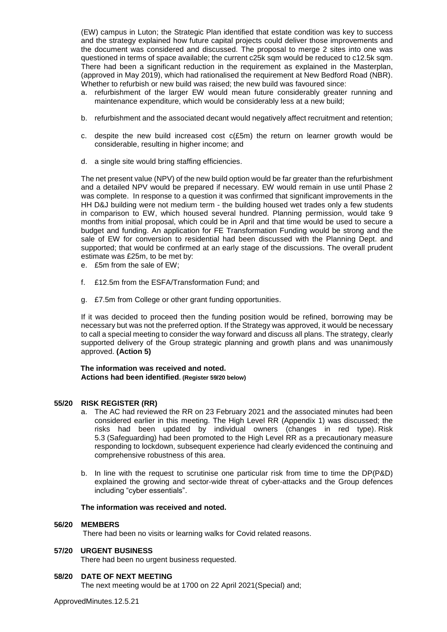(EW) campus in Luton; the Strategic Plan identified that estate condition was key to success and the strategy explained how future capital projects could deliver those improvements and the document was considered and discussed. The proposal to merge 2 sites into one was questioned in terms of space available; the current c25k sqm would be reduced to c12.5k sqm. There had been a significant reduction in the requirement as explained in the Masterplan, (approved in May 2019), which had rationalised the requirement at New Bedford Road (NBR). Whether to refurbish or new build was raised; the new build was favoured since:

- a. refurbishment of the larger EW would mean future considerably greater running and maintenance expenditure, which would be considerably less at a new build;
- b. refurbishment and the associated decant would negatively affect recruitment and retention;
- c. despite the new build increased cost  $c(E5m)$  the return on learner growth would be considerable, resulting in higher income; and
- d. a single site would bring staffing efficiencies.

The net present value (NPV) of the new build option would be far greater than the refurbishment and a detailed NPV would be prepared if necessary. EW would remain in use until Phase 2 was complete. In response to a question it was confirmed that significant improvements in the HH D&J building were not medium term - the building housed wet trades only a few students in comparison to EW, which housed several hundred. Planning permission, would take 9 months from initial proposal, which could be in April and that time would be used to secure a budget and funding. An application for FE Transformation Funding would be strong and the sale of EW for conversion to residential had been discussed with the Planning Dept. and supported; that would be confirmed at an early stage of the discussions. The overall prudent estimate was £25m, to be met by:

- e. £5m from the sale of EW;
- f. £12.5m from the ESFA/Transformation Fund; and
- g. £7.5m from College or other grant funding opportunities.

If it was decided to proceed then the funding position would be refined, borrowing may be necessary but was not the preferred option. If the Strategy was approved, it would be necessary to call a special meeting to consider the way forward and discuss all plans. The strategy, clearly supported delivery of the Group strategic planning and growth plans and was unanimously approved. **(Action 5)**

**The information was received and noted***.* **Actions had been identified. (Register 59/20 below)**

# **55/20 RISK REGISTER (RR)**

- a. The AC had reviewed the RR on 23 February 2021 and the associated minutes had been considered earlier in this meeting. The High Level RR (Appendix 1) was discussed; the risks had been updated by individual owners (changes in red type). Risk 5.3 (Safeguarding) had been promoted to the High Level RR as a precautionary measure responding to lockdown, subsequent experience had clearly evidenced the continuing and comprehensive robustness of this area.
- b. In line with the request to scrutinise one particular risk from time to time the DP(P&D) explained the growing and sector-wide threat of cyber-attacks and the Group defences including "cyber essentials".

# **The information was received and noted.**

# **56/20 MEMBERS**

There had been no visits or learning walks for Covid related reasons.

# **57/20 URGENT BUSINESS**

There had been no urgent business requested.

# **58/20 DATE OF NEXT MEETING**

The next meeting would be at 1700 on 22 April 2021(Special) and;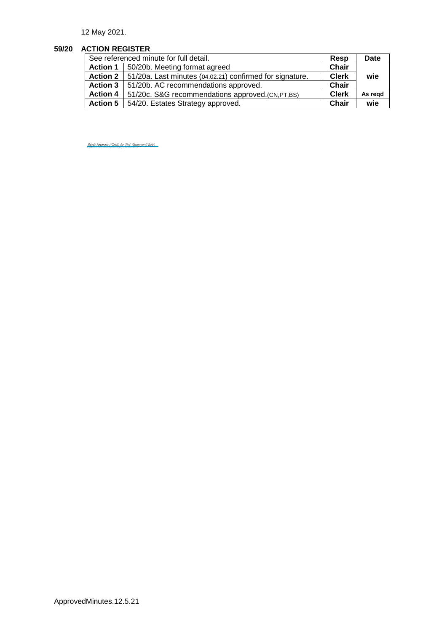12 May 2021.

# **59/20 ACTION REGISTER**

| See referenced minute for full detail. |                                                                     | Resp         | <b>Date</b> |
|----------------------------------------|---------------------------------------------------------------------|--------------|-------------|
|                                        | Action 1   50/20b. Meeting format agreed                            | <b>Chair</b> |             |
|                                        | Action 2   51/20a. Last minutes (04.02.21) confirmed for signature. | <b>Clerk</b> | wie         |
|                                        | Action 3   51/20b. AC recommendations approved.                     | Chair        |             |
|                                        | Action 4   51/20c. S&G recommendations approved.(CN,PT,BS)          | <b>Clerk</b> | As regd     |
|                                        | Action 5   54/20. Estates Strategy approved.                        | Chair        | wie         |

<u>[Ralph Devereux \(Clerk\) for Phil Thompson \(Chair\)](https://eu1.documents.adobe.com/verifier?tx=CBJCHBCAABAA31uRQaVxgZNmhpWVhh4u6Eakgf9YgYyi)</u>